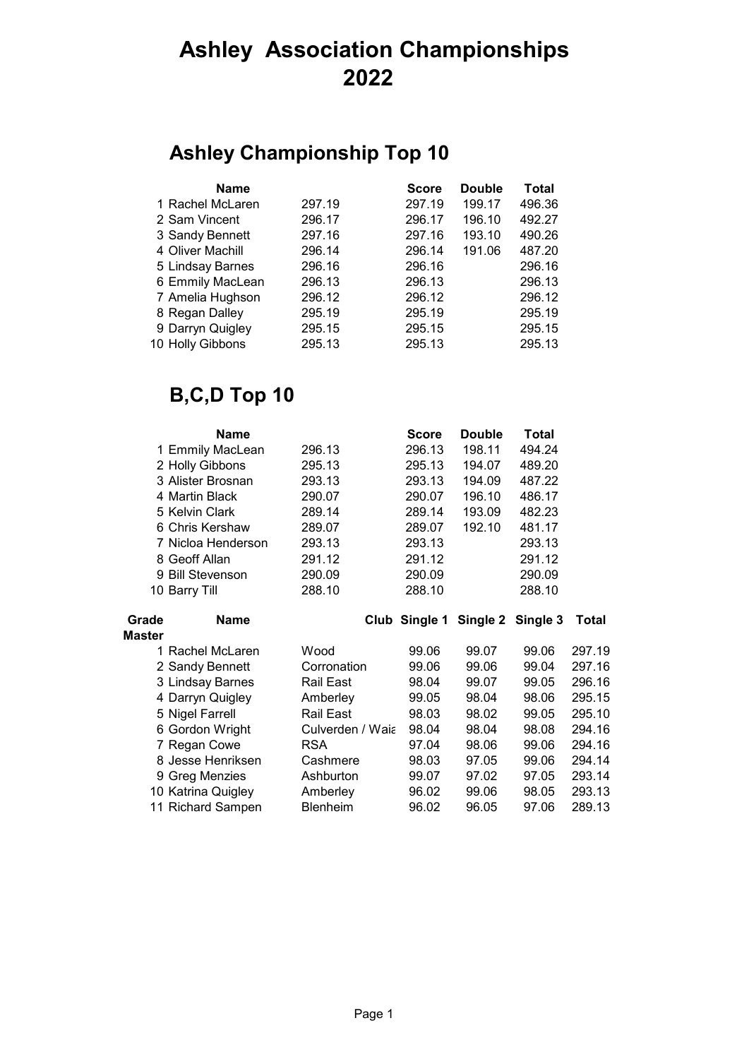## **Ashley Association Championships 2**

#### **Ashley Championship Top 10**

| <b>Name</b>      |        | <b>Score</b> | <b>Double</b> | <b>Total</b> |
|------------------|--------|--------------|---------------|--------------|
| 1 Rachel McLaren | 297.19 | 297.19       | 199.17        | 496.36       |
| 2 Sam Vincent    | 296.17 | 296.17       | 196.10        | 492.27       |
| 3 Sandy Bennett  | 297.16 | 297.16       | 193.10        | 490.26       |
| 4 Oliver Machill | 296.14 | 296.14       | 191.06        | 487.20       |
| 5 Lindsay Barnes | 296.16 | 296.16       |               | 296.16       |
| 6 Emmily MacLean | 296.13 | 296.13       |               | 296.13       |
| 7 Amelia Hughson | 296.12 | 296.12       |               | 296.12       |
| 8 Regan Dalley   | 295.19 | 295.19       |               | 295.19       |
| 9 Darryn Quigley | 295.15 | 295.15       |               | 295.15       |
| 10 Holly Gibbons | 295.13 | 295.13       |               | 295.13       |

# **B,C,D Top 10**

|               | Name               |                  | <b>Score</b> | Double                          | Total  |        |
|---------------|--------------------|------------------|--------------|---------------------------------|--------|--------|
|               | 1 Emmily MacLean   | 296.13           | 296.13       | 198.11                          | 494.24 |        |
|               | 2 Holly Gibbons    | 295.13           | 295.13       | 194.07                          | 489.20 |        |
|               | 3 Alister Brosnan  | 293.13           | 293.13       | 194.09                          | 487.22 |        |
|               | 4 Martin Black     | 290.07           | 290.07       | 196.10                          | 486.17 |        |
|               | 5 Kelvin Clark     | 289.14           | 289.14       | 193.09                          | 482.23 |        |
|               | 6 Chris Kershaw    | 289.07           | 289.07       | 192.10                          | 481.17 |        |
|               | 7 Nicloa Henderson | 293.13           | 293.13       |                                 | 293.13 |        |
|               | 8 Geoff Allan      | 291.12           | 291.12       |                                 | 291.12 |        |
|               | 9 Bill Stevenson   | 290.09           | 290.09       |                                 | 290.09 |        |
|               | 10 Barry Till      | 288.10           | 288.10       |                                 | 288.10 |        |
| Grade         | <b>Name</b>        |                  |              | Club Single 1 Single 2 Single 3 |        | Total  |
|               |                    |                  |              |                                 |        |        |
| <b>Master</b> |                    |                  |              |                                 |        |        |
|               | 1 Rachel McLaren   | Wood             | 99.06        | 99.07                           | 99.06  | 297.19 |
|               | 2 Sandy Bennett    | Corronation      | 99.06        | 99.06                           | 99.04  | 297.16 |
|               | 3 Lindsay Barnes   | Rail East        | 98.04        | 99.07                           | 99.05  | 296.16 |
|               | 4 Darryn Quigley   | Amberley         | 99.05        | 98.04                           | 98.06  | 295.15 |
|               | 5 Nigel Farrell    | Rail East        | 98.03        | 98.02                           | 99.05  | 295.10 |
|               | 6 Gordon Wright    | Culverden / Waia | 98.04        | 98.04                           | 98.08  | 294.16 |
|               | 7 Regan Cowe       | <b>RSA</b>       | 97.04        | 98.06                           | 99.06  | 294.16 |
|               | 8 Jesse Henriksen  | Cashmere         | 98.03        | 97.05                           | 99.06  | 294.14 |
|               | 9 Greg Menzies     | Ashburton        | 99.07        | 97.02                           | 97.05  | 293.14 |
|               | 10 Katrina Quigley | Amberley         | 96.02        | 99.06                           | 98.05  | 293.13 |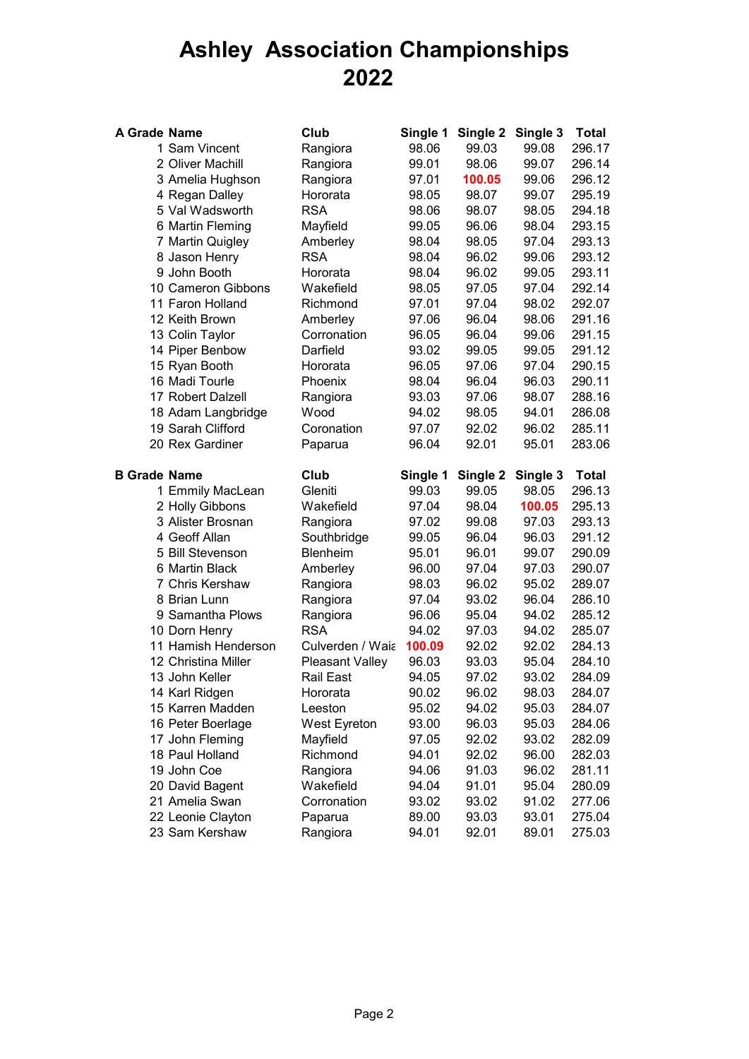## **Ashley Association Championships 2**

| A Grade Name        |                     | Club             | Single 1 | Single 2 | Single 3 | Total        |
|---------------------|---------------------|------------------|----------|----------|----------|--------------|
|                     | 1 Sam Vincent       | Rangiora         | 98.06    | 99.03    | 99.08    | 296.17       |
|                     | 2 Oliver Machill    | Rangiora         | 99.01    | 98.06    | 99.07    | 296.14       |
|                     | 3 Amelia Hughson    | Rangiora         | 97.01    | 100.05   | 99.06    | 296.12       |
|                     | 4 Regan Dalley      | Hororata         | 98.05    | 98.07    | 99.07    | 295.19       |
|                     | 5 Val Wadsworth     | <b>RSA</b>       | 98.06    | 98.07    | 98.05    | 294.18       |
|                     | 6 Martin Fleming    | Mayfield         | 99.05    | 96.06    | 98.04    | 293.15       |
|                     | 7 Martin Quigley    | Amberley         | 98.04    | 98.05    | 97.04    | 293.13       |
|                     | 8 Jason Henry       | <b>RSA</b>       | 98.04    | 96.02    | 99.06    | 293.12       |
|                     | 9 John Booth        | Hororata         | 98.04    | 96.02    | 99.05    | 293.11       |
|                     | 10 Cameron Gibbons  | Wakefield        | 98.05    | 97.05    | 97.04    | 292.14       |
|                     | 11 Faron Holland    | Richmond         | 97.01    | 97.04    | 98.02    | 292.07       |
|                     | 12 Keith Brown      | Amberley         | 97.06    | 96.04    | 98.06    | 291.16       |
|                     | 13 Colin Taylor     | Corronation      | 96.05    | 96.04    | 99.06    | 291.15       |
|                     | 14 Piper Benbow     | Darfield         | 93.02    | 99.05    | 99.05    | 291.12       |
|                     | 15 Ryan Booth       | Hororata         | 96.05    | 97.06    | 97.04    | 290.15       |
|                     | 16 Madi Tourle      | Phoenix          | 98.04    | 96.04    | 96.03    | 290.11       |
|                     | 17 Robert Dalzell   | Rangiora         | 93.03    | 97.06    | 98.07    | 288.16       |
|                     | 18 Adam Langbridge  | Wood             | 94.02    | 98.05    | 94.01    | 286.08       |
|                     | 19 Sarah Clifford   | Coronation       | 97.07    | 92.02    | 96.02    | 285.11       |
|                     | 20 Rex Gardiner     | Paparua          | 96.04    | 92.01    | 95.01    | 283.06       |
| <b>B Grade Name</b> |                     | Club             | Single 1 | Single 2 | Single 3 | <b>Total</b> |
|                     | 1 Emmily MacLean    | Gleniti          | 99.03    | 99.05    | 98.05    | 296.13       |
|                     | 2 Holly Gibbons     | Wakefield        | 97.04    | 98.04    | 100.05   | 295.13       |
|                     | 3 Alister Brosnan   | Rangiora         | 97.02    | 99.08    | 97.03    | 293.13       |
|                     | 4 Geoff Allan       | Southbridge      | 99.05    | 96.04    | 96.03    | 291.12       |
|                     | 5 Bill Stevenson    | <b>Blenheim</b>  | 95.01    | 96.01    | 99.07    | 290.09       |
|                     | 6 Martin Black      | Amberley         | 96.00    | 97.04    | 97.03    | 290.07       |
|                     | 7 Chris Kershaw     | Rangiora         | 98.03    | 96.02    | 95.02    | 289.07       |
|                     | 8 Brian Lunn        | Rangiora         | 97.04    | 93.02    | 96.04    | 286.10       |
|                     | 9 Samantha Plows    | Rangiora         | 96.06    | 95.04    | 94.02    | 285.12       |
|                     | 10 Dorn Henry       | <b>RSA</b>       | 94.02    | 97.03    | 94.02    | 285.07       |
|                     | 11 Hamish Henderson | Culverden / Waia | 100.09   | 92.02    | 92.02    | 284.13       |
|                     | 12 Christina Miller | Pleasant Valley  | 96.03    | 93.03    | 95.04    | 284.10       |
|                     | 13 John Keller      | Rail East        | 94.05    | 97.02    | 93.02    | 284.09       |
|                     | 14 Karl Ridgen      | Hororata         | 90.02    | 96.02    | 98.03    | 284.07       |
|                     | 15 Karren Madden    | Leeston          | 95.02    | 94.02    | 95.03    | 284.07       |
|                     | 16 Peter Boerlage   | West Eyreton     | 93.00    | 96.03    | 95.03    | 284.06       |
|                     | 17 John Fleming     | Mayfield         | 97.05    | 92.02    | 93.02    | 282.09       |
|                     | 18 Paul Holland     | Richmond         | 94.01    | 92.02    | 96.00    | 282.03       |
|                     | 19 John Coe         | Rangiora         | 94.06    | 91.03    | 96.02    | 281.11       |
|                     | 20 David Bagent     | Wakefield        | 94.04    | 91.01    | 95.04    | 280.09       |
|                     | 21 Amelia Swan      | Corronation      | 93.02    | 93.02    | 91.02    | 277.06       |
|                     | 22 Leonie Clayton   | Paparua          | 89.00    | 93.03    | 93.01    | 275.04       |
|                     | 23 Sam Kershaw      | Rangiora         | 94.01    | 92.01    | 89.01    | 275.03       |